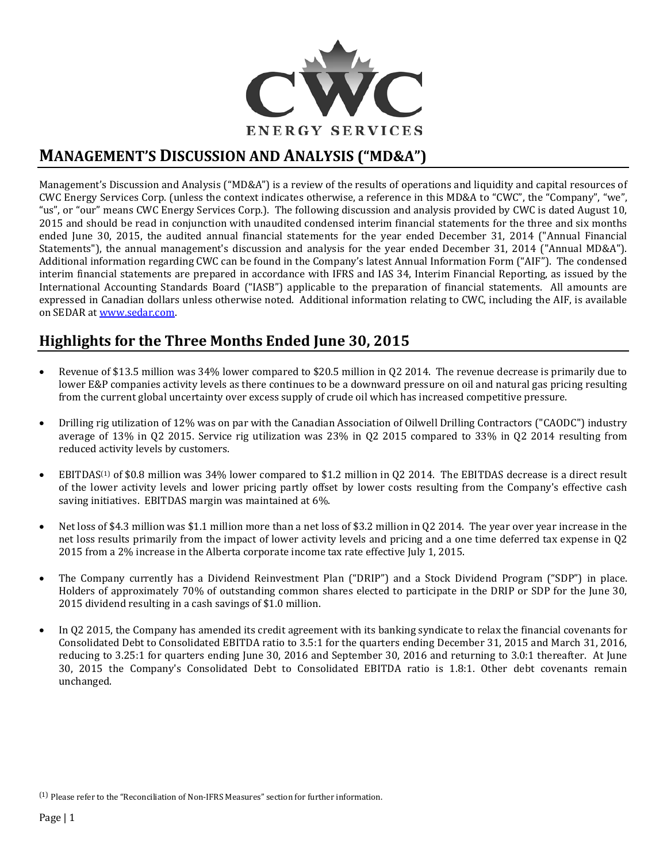

# **MANAGEMENT'S DISCUSSION AND ANALYSIS ("MD&A")**

Management's Discussion and Analysis ("MD&A") is a review of the results of operations and liquidity and capital resources of CWC Energy Services Corp. (unless the context indicates otherwise, a reference in this MD&A to "CWC", the "Company", "we", "us", or "our" means CWC Energy Services Corp.). The following discussion and analysis provided by CWC is dated August 10, 2015 and should be read in conjunction with unaudited condensed interim financial statements for the three and six months ended June 30, 2015, the audited annual financial statements for the year ended December 31, 2014 ("Annual Financial Statements"), the annual management's discussion and analysis for the year ended December 31, 2014 ("Annual MD&A"). Additional information regarding CWC can be found in the Company's latest Annual Information Form ("AIF"). The condensed interim financial statements are prepared in accordance with IFRS and IAS 34, Interim Financial Reporting, as issued by the International Accounting Standards Board ("IASB") applicable to the preparation of financial statements. All amounts are expressed in Canadian dollars unless otherwise noted. Additional information relating to CWC, including the AIF, is available on SEDAR a[t www.sedar.com.](http://www.sedar.com/)

# **Highlights for the Three Months Ended June 30, 2015**

- Revenue of \$13.5 million was 34% lower compared to \$20.5 million in Q2 2014. The revenue decrease is primarily due to lower E&P companies activity levels as there continues to be a downward pressure on oil and natural gas pricing resulting from the current global uncertainty over excess supply of crude oil which has increased competitive pressure.
- Drilling rig utilization of 12% was on par with the Canadian Association of Oilwell Drilling Contractors ("CAODC") industry average of 13% in Q2 2015. Service rig utilization was 23% in Q2 2015 compared to 33% in Q2 2014 resulting from reduced activity levels by customers.
- EBITDAS(1) of \$0.8 million was 34% lower compared to \$1.2 million in Q2 2014. The EBITDAS decrease is a direct result of the lower activity levels and lower pricing partly offset by lower costs resulting from the Company's effective cash saving initiatives. EBITDAS margin was maintained at 6%.
- Net loss of \$4.3 million was \$1.1 million more than a net loss of \$3.2 million in Q2 2014. The year over year increase in the net loss results primarily from the impact of lower activity levels and pricing and a one time deferred tax expense in Q2 2015 from a 2% increase in the Alberta corporate income tax rate effective July 1, 2015.
- The Company currently has a Dividend Reinvestment Plan ("DRIP") and a Stock Dividend Program ("SDP") in place. Holders of approximately 70% of outstanding common shares elected to participate in the DRIP or SDP for the June 30, 2015 dividend resulting in a cash savings of \$1.0 million.
- In Q2 2015, the Company has amended its credit agreement with its banking syndicate to relax the financial covenants for Consolidated Debt to Consolidated EBITDA ratio to 3.5:1 for the quarters ending December 31, 2015 and March 31, 2016, reducing to 3.25:1 for quarters ending June 30, 2016 and September 30, 2016 and returning to 3.0:1 thereafter. At June 30, 2015 the Company's Consolidated Debt to Consolidated EBITDA ratio is 1.8:1. Other debt covenants remain unchanged.

(1) Please refer to the "Reconciliation of Non-IFRS Measures" section for further information.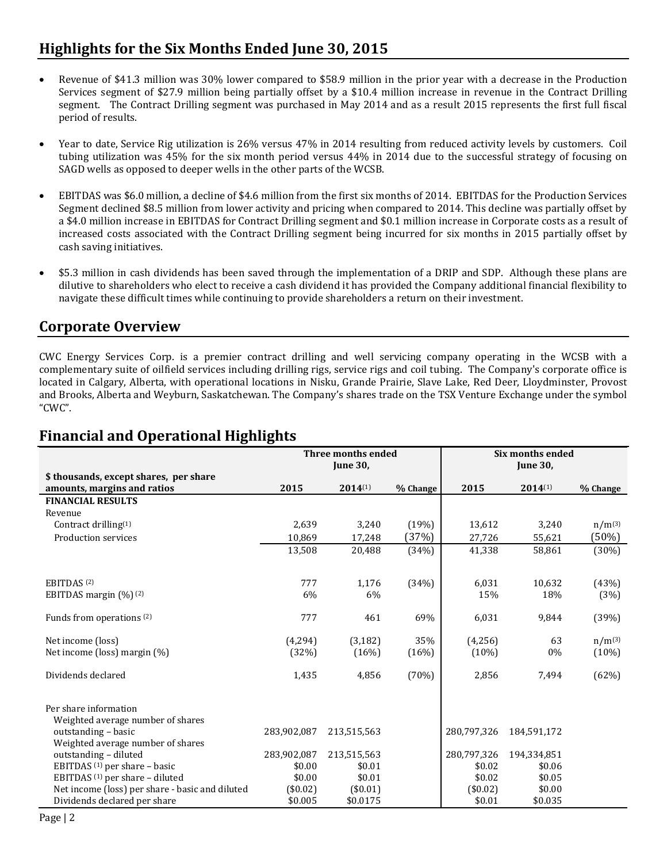- Revenue of \$41.3 million was 30% lower compared to \$58.9 million in the prior year with a decrease in the Production Services segment of \$27.9 million being partially offset by a \$10.4 million increase in revenue in the Contract Drilling segment. The Contract Drilling segment was purchased in May 2014 and as a result 2015 represents the first full fiscal period of results.
- Year to date, Service Rig utilization is 26% versus 47% in 2014 resulting from reduced activity levels by customers. Coil tubing utilization was 45% for the six month period versus 44% in 2014 due to the successful strategy of focusing on SAGD wells as opposed to deeper wells in the other parts of the WCSB.
- EBITDAS was \$6.0 million, a decline of \$4.6 million from the first six months of 2014. EBITDAS for the Production Services Segment declined \$8.5 million from lower activity and pricing when compared to 2014. This decline was partially offset by a \$4.0 million increase in EBITDAS for Contract Drilling segment and \$0.1 million increase in Corporate costs as a result of increased costs associated with the Contract Drilling segment being incurred for six months in 2015 partially offset by cash saving initiatives.
- \$5.3 million in cash dividends has been saved through the implementation of a DRIP and SDP. Although these plans are dilutive to shareholders who elect to receive a cash dividend it has provided the Company additional financial flexibility to navigate these difficult times while continuing to provide shareholders a return on their investment.

### **Corporate Overview**

CWC Energy Services Corp. is a premier contract drilling and well servicing company operating in the WCSB with a complementary suite of oilfield services including drilling rigs, service rigs and coil tubing. The Company's corporate office is located in Calgary, Alberta, with operational locations in Nisku, Grande Prairie, Slave Lake, Red Deer, Lloydminster, Provost and Brooks, Alberta and Weyburn, Saskatchewan. The Company's shares trade on the TSX Venture Exchange under the symbol "CWC".

|                                                       |             | Three months ended |          |             | Six months ended |             |
|-------------------------------------------------------|-------------|--------------------|----------|-------------|------------------|-------------|
|                                                       |             | <b>June 30,</b>    |          |             | <b>June 30,</b>  |             |
| \$ thousands, except shares, per share                |             |                    |          |             |                  |             |
| amounts, margins and ratios                           | 2015        | $2014^{(1)}$       | % Change | 2015        | $2014^{(1)}$     | % Change    |
| <b>FINANCIAL RESULTS</b>                              |             |                    |          |             |                  |             |
| Revenue                                               |             |                    |          |             |                  |             |
| Contract drilling <sup>(1)</sup>                      | 2,639       | 3,240              | (19%)    | 13,612      | 3,240            | $n/m^{(3)}$ |
| Production services                                   | 10,869      | 17,248             | (37%)    | 27,726      | 55,621           | (50%)       |
|                                                       | 13,508      | 20,488             | (34%)    | 41,338      | 58,861           | (30%)       |
|                                                       |             |                    |          |             |                  |             |
|                                                       |             |                    |          |             |                  |             |
| EBITDAS <sup>(2)</sup>                                | 777         | 1,176              | (34%)    | 6,031       | 10,632           | (43%)       |
| EBITDAS margin (%) <sup>(2)</sup>                     | 6%          | 6%                 |          | 15%         | 18%              | (3%)        |
|                                                       |             |                    |          |             |                  |             |
| Funds from operations (2)                             | 777         | 461                | 69%      | 6,031       | 9,844            | (39%)       |
| Net income (loss)                                     | (4,294)     | (3, 182)           | 35%      | (4,256)     | 63               | $n/m^{(3)}$ |
| Net income (loss) margin (%)                          | (32%)       | (16%)              | (16%)    | $(10\%)$    | 0%               | $(10\%)$    |
|                                                       |             |                    |          |             |                  |             |
| Dividends declared                                    | 1,435       | 4,856              | (70%)    | 2,856       | 7,494            | (62%)       |
|                                                       |             |                    |          |             |                  |             |
| Per share information                                 |             |                    |          |             |                  |             |
| Weighted average number of shares                     |             |                    |          |             |                  |             |
| outstanding - basic                                   | 283,902,087 | 213,515,563        |          | 280,797,326 | 184,591,172      |             |
| Weighted average number of shares                     |             |                    |          |             |                  |             |
| outstanding - diluted                                 | 283,902,087 | 213,515,563        |          | 280,797,326 | 194,334,851      |             |
| EBITDAS <sup><math>(1)</math></sup> per share – basic | \$0.00      | \$0.01             |          | \$0.02      | \$0.06           |             |
| EBITDAS <sup>(1)</sup> per share - diluted            | \$0.00      | \$0.01             |          | \$0.02      | \$0.05           |             |
| Net income (loss) per share - basic and diluted       | (\$0.02)    | $(\$0.01)$         |          | (\$0.02)    | \$0.00           |             |
| Dividends declared per share                          | \$0.005     | \$0.0175           |          | \$0.01      | \$0.035          |             |

# **Financial and Operational Highlights**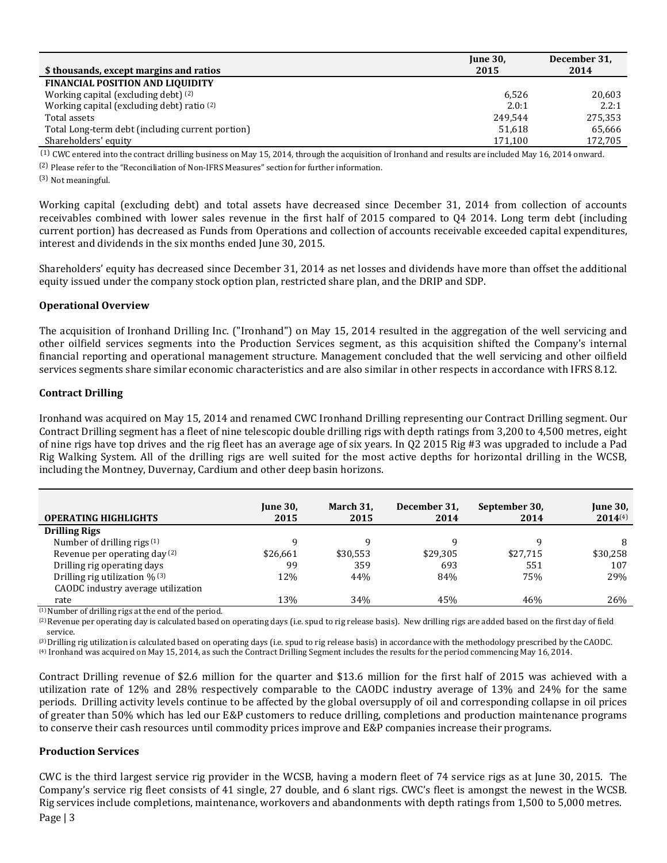|                                                       | June $301$ | December 31, |
|-------------------------------------------------------|------------|--------------|
| \$ thousands, except margins and ratios               | 2015       | 2014         |
| <b>FINANCIAL POSITION AND LIQUIDITY</b>               |            |              |
| Working capital (excluding debt) (2)                  | 6,526      | 20,603       |
| Working capital (excluding debt) ratio <sup>(2)</sup> | 2.0:1      | 2.2:1        |
| Total assets                                          | 249.544    | 275.353      |
| Total Long-term debt (including current portion)      | 51,618     | 65,666       |
| Shareholders' equity                                  | 171.100    | 172.705      |

 $(1)$  CWC entered into the contract drilling business on May 15, 2014, through the acquisition of Ironhand and results are included May 16, 2014 onward.

(2) Please refer to the "Reconciliation of Non-IFRS Measures" section for further information.

(3) Not meaningful.

Working capital (excluding debt) and total assets have decreased since December 31, 2014 from collection of accounts receivables combined with lower sales revenue in the first half of 2015 compared to Q4 2014. Long term debt (including current portion) has decreased as Funds from Operations and collection of accounts receivable exceeded capital expenditures, interest and dividends in the six months ended June 30, 2015.

Shareholders' equity has decreased since December 31, 2014 as net losses and dividends have more than offset the additional equity issued under the company stock option plan, restricted share plan, and the DRIP and SDP.

#### **Operational Overview**

The acquisition of Ironhand Drilling Inc. ("Ironhand") on May 15, 2014 resulted in the aggregation of the well servicing and other oilfield services segments into the Production Services segment, as this acquisition shifted the Company's internal financial reporting and operational management structure. Management concluded that the well servicing and other oilfield services segments share similar economic characteristics and are also similar in other respects in accordance with IFRS 8.12.

#### **Contract Drilling**

Ironhand was acquired on May 15, 2014 and renamed CWC Ironhand Drilling representing our Contract Drilling segment. Our Contract Drilling segment has a fleet of nine telescopic double drilling rigs with depth ratings from 3,200 to 4,500 metres, eight of nine rigs have top drives and the rig fleet has an average age of six years. In Q2 2015 Rig #3 was upgraded to include a Pad Rig Walking System. All of the drilling rigs are well suited for the most active depths for horizontal drilling in the WCSB, including the Montney, Duvernay, Cardium and other deep basin horizons.

| <b>OPERATING HIGHLIGHTS</b>        | <b>June 30,</b><br>2015 | March 31.<br>2015 | December 31.<br>2014 | September 30,<br>2014 | <b>June 30,</b><br>$2014^{(4)}$ |
|------------------------------------|-------------------------|-------------------|----------------------|-----------------------|---------------------------------|
| <b>Drilling Rigs</b>               |                         |                   |                      |                       |                                 |
| Number of drilling rigs $(1)$      | q                       |                   | q                    |                       | 8                               |
| Revenue per operating day $(2)$    | \$26,661                | \$30,553          | \$29,305             | \$27.715              | \$30,258                        |
| Drilling rig operating days        | 99                      | 359               | 693                  | 551                   | 107                             |
| Drilling rig utilization $\%$ (3)  | 12%                     | 44%               | 84%                  | 75%                   | 29%                             |
| CAODC industry average utilization |                         |                   |                      |                       |                                 |
| rate<br>.                          | 13%                     | 34%               | 45%                  | 46%                   | 26%                             |

(1) Number of drilling rigs at the end of the period.

(2) Revenue per operating day is calculated based on operating days (i.e. spud to rig release basis). New drilling rigs are added based on the first day of field service.

 $^{(3)}$  Drilling rig utilization is calculated based on operating days (i.e. spud to rig release basis) in accordance with the methodology prescribed by the CAODC.

(4) Ironhand was acquired on May 15, 2014, as such the Contract Drilling Segment includes the results for the period commencing May 16, 2014.

Contract Drilling revenue of \$2.6 million for the quarter and \$13.6 million for the first half of 2015 was achieved with a utilization rate of 12% and 28% respectively comparable to the CAODC industry average of 13% and 24% for the same periods. Drilling activity levels continue to be affected by the global oversupply of oil and corresponding collapse in oil prices of greater than 50% which has led our E&P customers to reduce drilling, completions and production maintenance programs to conserve their cash resources until commodity prices improve and E&P companies increase their programs.

#### **Production Services**

CWC is the third largest service rig provider in the WCSB, having a modern fleet of 74 service rigs as at June 30, 2015. The Company's service rig fleet consists of 41 single, 27 double, and 6 slant rigs. CWC's fleet is amongst the newest in the WCSB. Rig services include completions, maintenance, workovers and abandonments with depth ratings from 1,500 to 5,000 metres.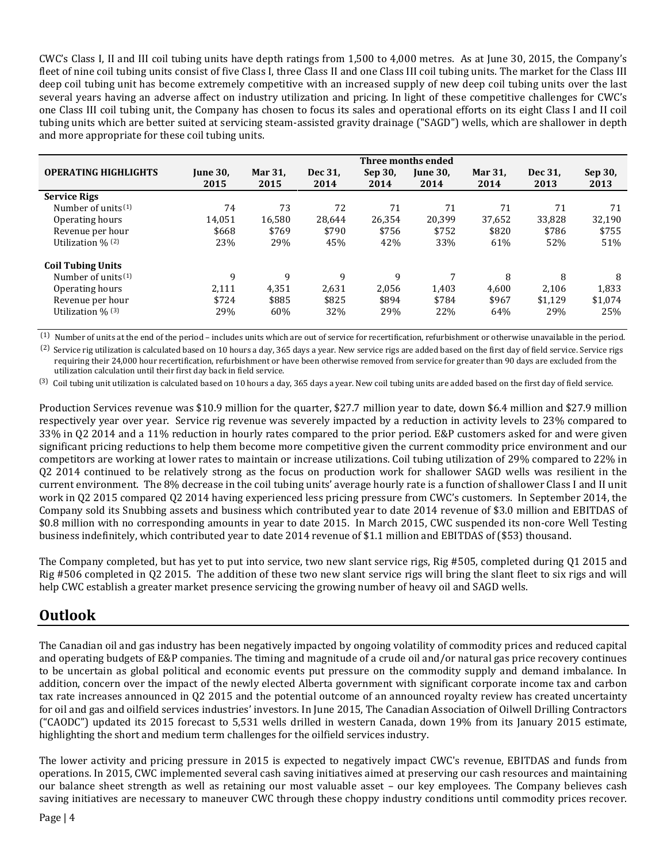CWC's Class I, II and III coil tubing units have depth ratings from 1,500 to 4,000 metres. As at June 30, 2015, the Company's fleet of nine coil tubing units consist of five Class I, three Class II and one Class III coil tubing units. The market for the Class III deep coil tubing unit has become extremely competitive with an increased supply of new deep coil tubing units over the last several years having an adverse affect on industry utilization and pricing. In light of these competitive challenges for CWC's one Class III coil tubing unit, the Company has chosen to focus its sales and operational efforts on its eight Class I and II coil tubing units which are better suited at servicing steam-assisted gravity drainage ("SAGD") wells, which are shallower in depth and more appropriate for these coil tubing units.

|                             | Three months ended |         |         |         |                 |         |         |         |
|-----------------------------|--------------------|---------|---------|---------|-----------------|---------|---------|---------|
| <b>OPERATING HIGHLIGHTS</b> | <b>June 30,</b>    | Mar 31, | Dec 31. | Sep 30. | <b>June 30,</b> | Mar 31, | Dec 31. | Sep 30, |
|                             | 2015               | 2015    | 2014    | 2014    | 2014            | 2014    | 2013    | 2013    |
| <b>Service Rigs</b>         |                    |         |         |         |                 |         |         |         |
| Number of units $(1)$       | 74                 | 73      | 72      | 71      | 71              | 71      | 71      | 71      |
| Operating hours             | 14,051             | 16.580  | 28.644  | 26.354  | 20,399          | 37.652  | 33,828  | 32,190  |
| Revenue per hour            | \$668              | \$769   | \$790   | \$756   | \$752           | \$820   | \$786   | \$755   |
| Utilization $\%$ $(2)$      | 23%                | 29%     | 45%     | 42%     | 33%             | 61%     | 52%     | 51%     |
| <b>Coil Tubing Units</b>    |                    |         |         |         |                 |         |         |         |
| Number of units $(1)$       | 9                  | 9       | 9       | 9       | 7               | 8       | 8       | 8       |
| Operating hours             | 2,111              | 4.351   | 2,631   | 2.056   | 1.403           | 4.600   | 2.106   | 1,833   |
| Revenue per hour            | \$724              | \$885   | \$825   | \$894   | \$784           | \$967   | \$1.129 | \$1,074 |
| Utilization $\%$ $(3)$      | 29%                | 60%     | 32%     | 29%     | 22%             | 64%     | 29%     | 25%     |

 $<sup>(1)</sup>$  Number of units at the end of the period – includes units which are out of service for recertification, refurbishment or otherwise unavailable in the period.</sup>

 $<sup>(2)</sup>$  Service rig utilization is calculated based on 10 hours a day, 365 days a year. New service rigs are added based on the first day of field service. Service rigs</sup> requiring their 24,000 hour recertification, refurbishment or have been otherwise removed from service for greater than 90 days are excluded from the utilization calculation until their first day back in field service.

(3) Coil tubing unit utilization is calculated based on 10 hours a day, 365 days a year. New coil tubing units are added based on the first day of field service.

Production Services revenue was \$10.9 million for the quarter, \$27.7 million year to date, down \$6.4 million and \$27.9 million respectively year over year. Service rig revenue was severely impacted by a reduction in activity levels to 23% compared to 33% in Q2 2014 and a 11% reduction in hourly rates compared to the prior period. E&P customers asked for and were given significant pricing reductions to help them become more competitive given the current commodity price environment and our competitors are working at lower rates to maintain or increase utilizations. Coil tubing utilization of 29% compared to 22% in Q2 2014 continued to be relatively strong as the focus on production work for shallower SAGD wells was resilient in the current environment. The 8% decrease in the coil tubing units' average hourly rate is a function of shallower Class I and II unit work in Q2 2015 compared Q2 2014 having experienced less pricing pressure from CWC's customers. In September 2014, the Company sold its Snubbing assets and business which contributed year to date 2014 revenue of \$3.0 million and EBITDAS of \$0.8 million with no corresponding amounts in year to date 2015. In March 2015, CWC suspended its non-core Well Testing business indefinitely, which contributed year to date 2014 revenue of \$1.1 million and EBITDAS of (\$53) thousand.

The Company completed, but has yet to put into service, two new slant service rigs, Rig #505, completed during Q1 2015 and Rig #506 completed in Q2 2015. The addition of these two new slant service rigs will bring the slant fleet to six rigs and will help CWC establish a greater market presence servicing the growing number of heavy oil and SAGD wells.

### **Outlook**

The Canadian oil and gas industry has been negatively impacted by ongoing volatility of commodity prices and reduced capital and operating budgets of E&P companies. The timing and magnitude of a crude oil and/or natural gas price recovery continues to be uncertain as global political and economic events put pressure on the commodity supply and demand imbalance. In addition, concern over the impact of the newly elected Alberta government with significant corporate income tax and carbon tax rate increases announced in Q2 2015 and the potential outcome of an announced royalty review has created uncertainty for oil and gas and oilfield services industries' investors. In June 2015, The Canadian Association of Oilwell Drilling Contractors ("CAODC") updated its 2015 forecast to 5,531 wells drilled in western Canada, down 19% from its January 2015 estimate, highlighting the short and medium term challenges for the oilfield services industry.

The lower activity and pricing pressure in 2015 is expected to negatively impact CWC's revenue, EBITDAS and funds from operations. In 2015, CWC implemented several cash saving initiatives aimed at preserving our cash resources and maintaining our balance sheet strength as well as retaining our most valuable asset – our key employees. The Company believes cash saving initiatives are necessary to maneuver CWC through these choppy industry conditions until commodity prices recover.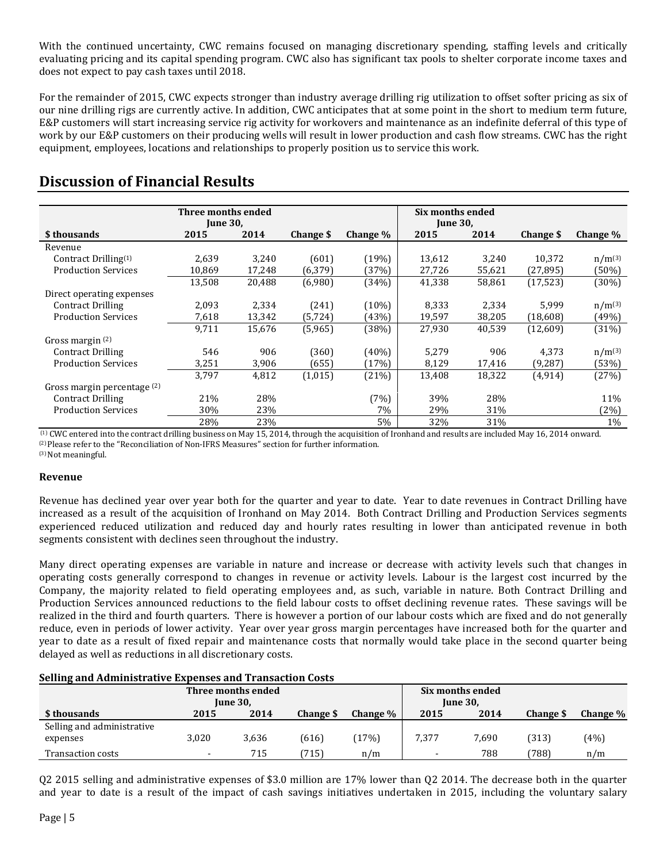With the continued uncertainty, CWC remains focused on managing discretionary spending, staffing levels and critically evaluating pricing and its capital spending program. CWC also has significant tax pools to shelter corporate income taxes and does not expect to pay cash taxes until 2018.

For the remainder of 2015, CWC expects stronger than industry average drilling rig utilization to offset softer pricing as six of our nine drilling rigs are currently active. In addition, CWC anticipates that at some point in the short to medium term future, E&P customers will start increasing service rig activity for workovers and maintenance as an indefinite deferral of this type of work by our E&P customers on their producing wells will result in lower production and cash flow streams. CWC has the right equipment, employees, locations and relationships to properly position us to service this work.

|                                  | Three months ended |        |           |          | Six months ended |        |           |             |
|----------------------------------|--------------------|--------|-----------|----------|------------------|--------|-----------|-------------|
|                                  | <b>June 30,</b>    |        |           |          | <b>June 30,</b>  |        |           |             |
| \$ thousands                     | 2015               | 2014   | Change \$ | Change % | 2015             | 2014   | Change \$ | Change %    |
| Revenue                          |                    |        |           |          |                  |        |           |             |
| Contract Drilling <sup>(1)</sup> | 2.639              | 3,240  | (601)     | (19%)    | 13,612           | 3,240  | 10.372    | $n/m^{(3)}$ |
| <b>Production Services</b>       | 10,869             | 17,248 | (6, 379)  | (37%)    | 27,726           | 55,621 | (27,895)  | (50%)       |
|                                  | 13,508             | 20,488 | (6,980)   | (34%)    | 41,338           | 58,861 | (17, 523) | (30%)       |
| Direct operating expenses        |                    |        |           |          |                  |        |           |             |
| <b>Contract Drilling</b>         | 2.093              | 2,334  | (241)     | $(10\%)$ | 8,333            | 2.334  | 5.999     | $n/m^{(3)}$ |
| <b>Production Services</b>       | 7,618              | 13,342 | (5,724)   | (43%)    | 19,597           | 38,205 | (18,608)  | (49%)       |
|                                  | 9,711              | 15,676 | (5,965)   | (38%)    | 27,930           | 40,539 | (12,609)  | (31%)       |
| Gross margin $(2)$               |                    |        |           |          |                  |        |           |             |
| <b>Contract Drilling</b>         | 546                | 906    | (360)     | $(40\%)$ | 5,279            | 906    | 4,373     | $n/m^{(3)}$ |
| <b>Production Services</b>       | 3,251              | 3,906  | (655)     | (17%)    | 8,129            | 17,416 | (9, 287)  | (53%)       |
|                                  | 3,797              | 4,812  | (1,015)   | (21%)    | 13,408           | 18,322 | (4, 914)  | (27%)       |
| Gross margin percentage (2)      |                    |        |           |          |                  |        |           |             |
| <b>Contract Drilling</b>         | 21%                | 28%    |           | (7%)     | 39%              | 28%    |           | 11%         |
| <b>Production Services</b>       | 30%                | 23%    |           | 7%       | 29%              | 31%    |           | (2%)        |
|                                  | 28%                | 23%    |           | 5%       | 32%              | 31%    |           | $1\%$       |

# **Discussion of Financial Results**

(1) CWC entered into the contract drilling business on May 15, 2014, through the acquisition of Ironhand and results are included May 16, 2014 onward. (2) Please refer to the "Reconciliation of Non-IFRS Measures" section for further information.

(3) Not meaningful.

### **Revenue**

Revenue has declined year over year both for the quarter and year to date. Year to date revenues in Contract Drilling have increased as a result of the acquisition of Ironhand on May 2014. Both Contract Drilling and Production Services segments experienced reduced utilization and reduced day and hourly rates resulting in lower than anticipated revenue in both segments consistent with declines seen throughout the industry.

Many direct operating expenses are variable in nature and increase or decrease with activity levels such that changes in operating costs generally correspond to changes in revenue or activity levels. Labour is the largest cost incurred by the Company, the majority related to field operating employees and, as such, variable in nature. Both Contract Drilling and Production Services announced reductions to the field labour costs to offset declining revenue rates. These savings will be realized in the third and fourth quarters. There is however a portion of our labour costs which are fixed and do not generally reduce, even in periods of lower activity. Year over year gross margin percentages have increased both for the quarter and year to date as a result of fixed repair and maintenance costs that normally would take place in the second quarter being delayed as well as reductions in all discretionary costs.

#### **Selling and Administrative Expenses and Transaction Costs**

| Three months ended<br><b>June 30,</b>  |                          |       |                  |          | Six months ended<br><b>June 30,</b> |       |                  |          |
|----------------------------------------|--------------------------|-------|------------------|----------|-------------------------------------|-------|------------------|----------|
| \$ thousands                           | 2015                     | 2014  | <b>Change</b> \$ | Change % | 2015                                | 2014  | <b>Change</b> \$ | Change % |
| Selling and administrative<br>expenses | 3.020                    | 3.636 | (616)            | (17%)    | 7,377                               | 7.690 | (313)            | (4%)     |
| Transaction costs                      | $\overline{\phantom{a}}$ | 715   | 715)             | n/m      | $\blacksquare$                      | 788   | (788)            | n/m      |

Q2 2015 selling and administrative expenses of \$3.0 million are 17% lower than Q2 2014. The decrease both in the quarter and year to date is a result of the impact of cash savings initiatives undertaken in 2015, including the voluntary salary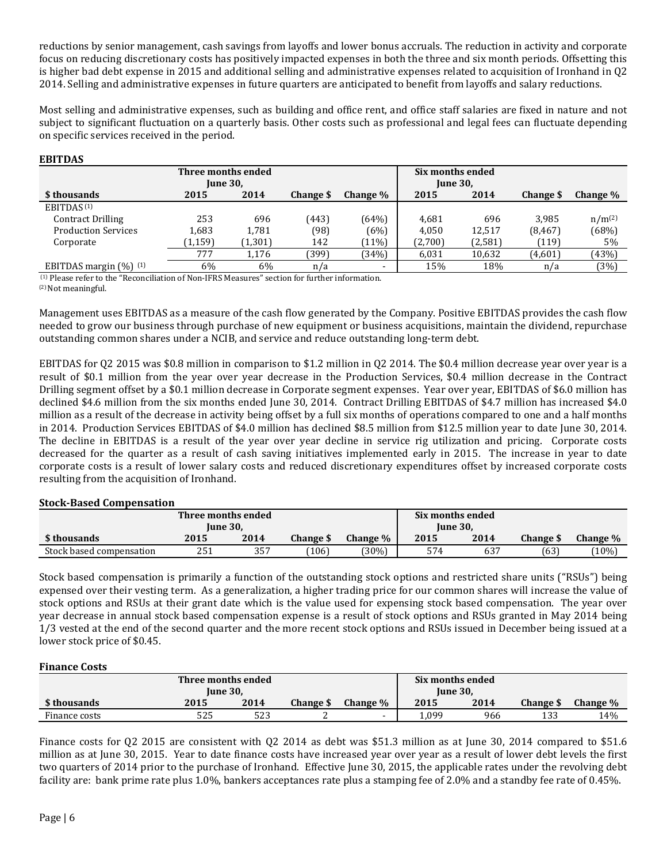reductions by senior management, cash savings from layoffs and lower bonus accruals. The reduction in activity and corporate focus on reducing discretionary costs has positively impacted expenses in both the three and six month periods. Offsetting this is higher bad debt expense in 2015 and additional selling and administrative expenses related to acquisition of Ironhand in Q2 2014. Selling and administrative expenses in future quarters are anticipated to benefit from layoffs and salary reductions.

Most selling and administrative expenses, such as building and office rent, and office staff salaries are fixed in nature and not subject to significant fluctuation on a quarterly basis. Other costs such as professional and legal fees can fluctuate depending on specific services received in the period.

#### **EBITDAS**

|                             | Three months ended |         |           |                          |                 | Six months ended |           |             |
|-----------------------------|--------------------|---------|-----------|--------------------------|-----------------|------------------|-----------|-------------|
| <b>June 30,</b>             |                    |         |           |                          | <b>Iune 30.</b> |                  |           |             |
| \$ thousands                | 2015               | 2014    | Change \$ | Change $\%$              | 2015            | 2014             | Change \$ | Change %    |
| EBITDAS <sup>(1)</sup>      |                    |         |           |                          |                 |                  |           |             |
| <b>Contract Drilling</b>    | 253                | 696     | (443)     | (64%)                    | 4,681           | 696              | 3.985     | $n/m^{(2)}$ |
| <b>Production Services</b>  | 1.683              | 1.781   | (98)      | (6%)                     | 4.050           | 12,517           | (8, 467)  | (68%)       |
| Corporate                   | (1, 159)           | (1,301) | 142       | (11%)                    | (2,700)         | (2,581)          | (119)     | 5%          |
|                             | 777                | 1,176   | (399)     | (34%)                    | 6,031           | 10,632           | (4,601)   | (43%)       |
| EBITDAS margin $(\%)$ $(1)$ | 6%                 | 6%      | n/a       | $\overline{\phantom{a}}$ | 15%             | 18%              | n/a       | (3%)        |

(1) Please refer to the "Reconciliation of Non-IFRS Measures" section for further information. (2) Not meaningful.

Management uses EBITDAS as a measure of the cash flow generated by the Company. Positive EBITDAS provides the cash flow needed to grow our business through purchase of new equipment or business acquisitions, maintain the dividend, repurchase outstanding common shares under a NCIB, and service and reduce outstanding long-term debt.

EBITDAS for Q2 2015 was \$0.8 million in comparison to \$1.2 million in Q2 2014. The \$0.4 million decrease year over year is a result of \$0.1 million from the year over year decrease in the Production Services, \$0.4 million decrease in the Contract Drilling segment offset by a \$0.1 million decrease in Corporate segment expenses. Year over year, EBITDAS of \$6.0 million has declined \$4.6 million from the six months ended June 30, 2014. Contract Drilling EBITDAS of \$4.7 million has increased \$4.0 million as a result of the decrease in activity being offset by a full six months of operations compared to one and a half months in 2014. Production Services EBITDAS of \$4.0 million has declined \$8.5 million from \$12.5 million year to date June 30, 2014. The decline in EBITDAS is a result of the year over year decline in service rig utilization and pricing. Corporate costs decreased for the quarter as a result of cash saving initiatives implemented early in 2015. The increase in year to date corporate costs is a result of lower salary costs and reduced discretionary expenditures offset by increased corporate costs resulting from the acquisition of Ironhand.

#### **Stock-Based Compensation**

| Three months ended<br>June 30, |      |      |           |          |      | Six months ended<br><b>Iune 30.</b> |                  |          |
|--------------------------------|------|------|-----------|----------|------|-------------------------------------|------------------|----------|
| \$ thousands                   | 2015 | 2014 | Change \$ | Change % | 2015 | 2014                                | <b>Change \$</b> | Change % |
| Stock based compensation       | 251  | 357  | (106      | $(30\%)$ | 574  | 637                                 | (63)             | $10\%$   |

Stock based compensation is primarily a function of the outstanding stock options and restricted share units ("RSUs") being expensed over their vesting term. As a generalization, a higher trading price for our common shares will increase the value of stock options and RSUs at their grant date which is the value used for expensing stock based compensation. The year over year decrease in annual stock based compensation expense is a result of stock options and RSUs granted in May 2014 being 1/3 vested at the end of the second quarter and the more recent stock options and RSUs issued in December being issued at a lower stock price of \$0.45.

#### **Finance Costs**

| Three months ended |      |      |                  |          |                 | Six months ended |                  |          |
|--------------------|------|------|------------------|----------|-----------------|------------------|------------------|----------|
| <b>Iune 30.</b>    |      |      |                  |          | <b>Iune 30.</b> |                  |                  |          |
| \$ thousands       | 2015 | 2014 | <b>Change \$</b> | Change % | 2015            | 2014             | <b>Change</b> \$ | Change % |
| Finance costs      | 525  | 523  |                  |          | .099            | 966              | 133              | 14%      |

Finance costs for Q2 2015 are consistent with Q2 2014 as debt was \$51.3 million as at June 30, 2014 compared to \$51.6 million as at June 30, 2015. Year to date finance costs have increased year over year as a result of lower debt levels the first two quarters of 2014 prior to the purchase of Ironhand. Effective June 30, 2015, the applicable rates under the revolving debt facility are: bank prime rate plus 1.0%, bankers acceptances rate plus a stamping fee of 2.0% and a standby fee rate of 0.45%.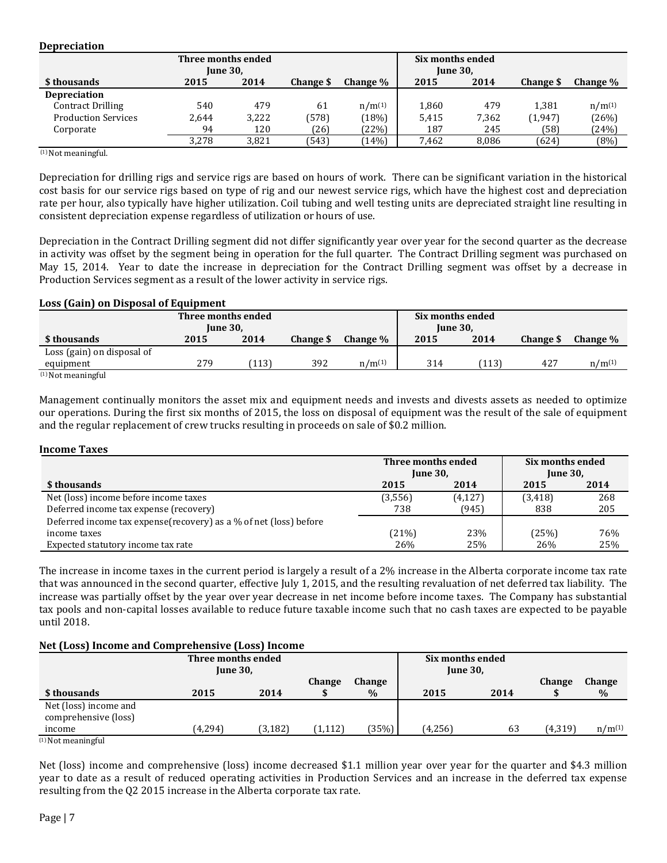| <b>Depreciation</b>        |                    |       |                  |             |                  |       |           |             |
|----------------------------|--------------------|-------|------------------|-------------|------------------|-------|-----------|-------------|
|                            | Three months ended |       |                  |             | Six months ended |       |           |             |
|                            | <b>June 30,</b>    |       |                  |             | <b>June 30,</b>  |       |           |             |
| \$ thousands               | 2015               | 2014  | <b>Change</b> \$ | Change %    | 2015             | 2014  | Change \$ | Change %    |
| <b>Depreciation</b>        |                    |       |                  |             |                  |       |           |             |
| <b>Contract Drilling</b>   | 540                | 479   | 61               | $n/m^{(1)}$ | 1.860            | 479   | 1.381     | $n/m^{(1)}$ |
| <b>Production Services</b> | 2.644              | 3,222 | (578)            | $18\%$      | 5,415            | 7,362 | (1, 947)  | (26%)       |
| Corporate                  | 94                 | 120   | (26)             | (22%)       | 187              | 245   | (58)      | (24%)       |
|                            | 3.278              | 3,821 | (543)            | $14\%$      | 7,462            | 8,086 | (624)     | (8%)        |

(1) Not meaningful.

Depreciation for drilling rigs and service rigs are based on hours of work. There can be significant variation in the historical cost basis for our service rigs based on type of rig and our newest service rigs, which have the highest cost and depreciation rate per hour, also typically have higher utilization. Coil tubing and well testing units are depreciated straight line resulting in consistent depreciation expense regardless of utilization or hours of use.

Depreciation in the Contract Drilling segment did not differ significantly year over year for the second quarter as the decrease in activity was offset by the segment being in operation for the full quarter. The Contract Drilling segment was purchased on May 15, 2014. Year to date the increase in depreciation for the Contract Drilling segment was offset by a decrease in Production Services segment as a result of the lower activity in service rigs.

#### **Loss (Gain) on Disposal of Equipment**

|                            | Three months ended<br>June 30, |       |           |             |      |      | Six months ended<br><b>Iune 30.</b> |             |  |
|----------------------------|--------------------------------|-------|-----------|-------------|------|------|-------------------------------------|-------------|--|
| \$ thousands               | 2015                           | 2014  | Change \$ | Change %    | 2015 | 2014 | <b>Change \$</b>                    | Change %    |  |
| Loss (gain) on disposal of |                                |       |           |             |      |      |                                     |             |  |
| equipment                  | 279                            | (113) | 392       | $n/m^{(1)}$ | 314  | 113  | 427                                 | $n/m^{(1)}$ |  |
| $(1)$ Not meaningful       |                                |       |           |             |      |      |                                     |             |  |

Management continually monitors the asset mix and equipment needs and invests and divests assets as needed to optimize our operations. During the first six months of 2015, the loss on disposal of equipment was the result of the sale of equipment and the regular replacement of crew trucks resulting in proceeds on sale of \$0.2 million.

#### **Income Taxes**

|                                                                    | Three months ended | Six months ended |                 |      |  |
|--------------------------------------------------------------------|--------------------|------------------|-----------------|------|--|
|                                                                    | <b>June 30,</b>    |                  | <b>June 30.</b> |      |  |
| \$ thousands                                                       | 2015               | 2014             | 2015            | 2014 |  |
| Net (loss) income before income taxes                              | (3,556)            | (4, 127)         | (3, 418)        | 268  |  |
| Deferred income tax expense (recovery)                             | 738                | (945)            | 838             | 205  |  |
| Deferred income tax expense (recovery) as a % of net (loss) before |                    |                  |                 |      |  |
| income taxes                                                       | (21%)              | 23%              | (25%)           | 76%  |  |
| Expected statutory income tax rate                                 | 26%                | 25%              | 26%             | 25%  |  |

The increase in income taxes in the current period is largely a result of a 2% increase in the Alberta corporate income tax rate that was announced in the second quarter, effective July 1, 2015, and the resulting revaluation of net deferred tax liability. The increase was partially offset by the year over year decrease in net income before income taxes. The Company has substantial tax pools and non-capital losses available to reduce future taxable income such that no cash taxes are expected to be payable until 2018.

#### **Net (Loss) Income and Comprehensive (Loss) Income**

| Three months ended<br><b>June 30,</b>         |         |          | Six months ended<br><b>June 30,</b> |        |         |      |         |             |
|-----------------------------------------------|---------|----------|-------------------------------------|--------|---------|------|---------|-------------|
|                                               |         |          | Change                              | Change |         |      | Change  | Change      |
| \$ thousands                                  | 2015    | 2014     |                                     | $\%$   | 2015    | 2014 |         | $\%$        |
| Net (loss) income and<br>comprehensive (loss) |         |          |                                     |        |         |      |         |             |
| income                                        | (4,294) | (3, 182) | (1, 112)                            | (35%)  | (4,256) | 63   | (4,319) | $n/m^{(1)}$ |
| $(1)$ Not monoingful                          |         |          |                                     |        |         |      |         |             |

(1) Not meaningful

Net (loss) income and comprehensive (loss) income decreased \$1.1 million year over year for the quarter and \$4.3 million year to date as a result of reduced operating activities in Production Services and an increase in the deferred tax expense resulting from the Q2 2015 increase in the Alberta corporate tax rate.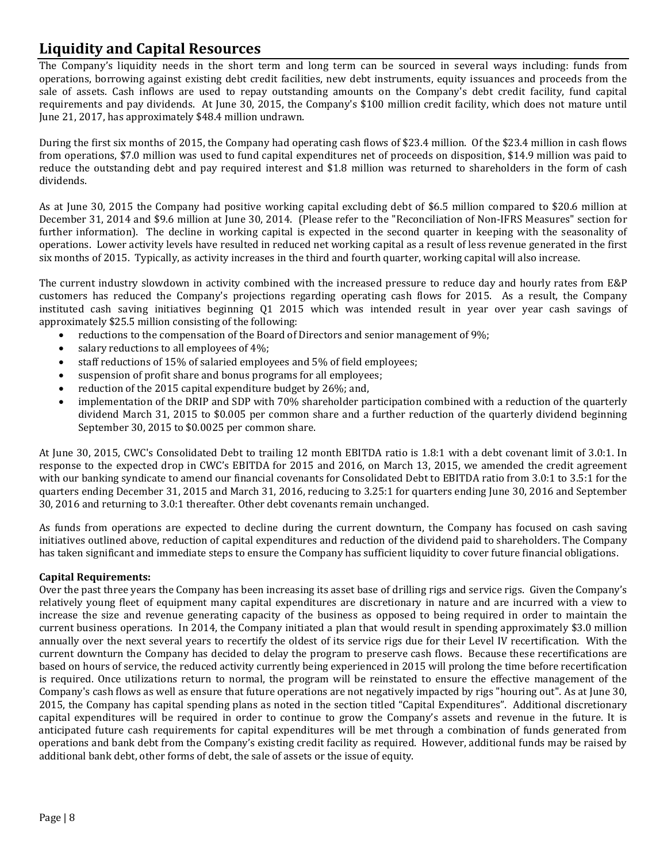# **Liquidity and Capital Resources**

The Company's liquidity needs in the short term and long term can be sourced in several ways including: funds from operations, borrowing against existing debt credit facilities, new debt instruments, equity issuances and proceeds from the sale of assets. Cash inflows are used to repay outstanding amounts on the Company's debt credit facility, fund capital requirements and pay dividends. At June 30, 2015, the Company's \$100 million credit facility, which does not mature until June 21, 2017, has approximately \$48.4 million undrawn.

During the first six months of 2015, the Company had operating cash flows of \$23.4 million. Of the \$23.4 million in cash flows from operations, \$7.0 million was used to fund capital expenditures net of proceeds on disposition, \$14.9 million was paid to reduce the outstanding debt and pay required interest and \$1.8 million was returned to shareholders in the form of cash dividends.

As at June 30, 2015 the Company had positive working capital excluding debt of \$6.5 million compared to \$20.6 million at December 31, 2014 and \$9.6 million at June 30, 2014. (Please refer to the "Reconciliation of Non-IFRS Measures" section for further information). The decline in working capital is expected in the second quarter in keeping with the seasonality of operations. Lower activity levels have resulted in reduced net working capital as a result of less revenue generated in the first six months of 2015. Typically, as activity increases in the third and fourth quarter, working capital will also increase.

The current industry slowdown in activity combined with the increased pressure to reduce day and hourly rates from E&P customers has reduced the Company's projections regarding operating cash flows for 2015. As a result, the Company instituted cash saving initiatives beginning Q1 2015 which was intended result in year over year cash savings of approximately \$25.5 million consisting of the following:

- reductions to the compensation of the Board of Directors and senior management of 9%;
- salary reductions to all employees of 4%;
- staff reductions of 15% of salaried employees and 5% of field employees;
- suspension of profit share and bonus programs for all employees;
- reduction of the 2015 capital expenditure budget by 26%; and,
- implementation of the DRIP and SDP with 70% shareholder participation combined with a reduction of the quarterly dividend March 31, 2015 to \$0.005 per common share and a further reduction of the quarterly dividend beginning September 30, 2015 to \$0.0025 per common share.

At June 30, 2015, CWC's Consolidated Debt to trailing 12 month EBITDA ratio is 1.8:1 with a debt covenant limit of 3.0:1. In response to the expected drop in CWC's EBITDA for 2015 and 2016, on March 13, 2015, we amended the credit agreement with our banking syndicate to amend our financial covenants for Consolidated Debt to EBITDA ratio from 3.0:1 to 3.5:1 for the quarters ending December 31, 2015 and March 31, 2016, reducing to 3.25:1 for quarters ending June 30, 2016 and September 30, 2016 and returning to 3.0:1 thereafter. Other debt covenants remain unchanged.

As funds from operations are expected to decline during the current downturn, the Company has focused on cash saving initiatives outlined above, reduction of capital expenditures and reduction of the dividend paid to shareholders. The Company has taken significant and immediate steps to ensure the Company has sufficient liquidity to cover future financial obligations.

### **Capital Requirements:**

Over the past three years the Company has been increasing its asset base of drilling rigs and service rigs. Given the Company's relatively young fleet of equipment many capital expenditures are discretionary in nature and are incurred with a view to increase the size and revenue generating capacity of the business as opposed to being required in order to maintain the current business operations. In 2014, the Company initiated a plan that would result in spending approximately \$3.0 million annually over the next several years to recertify the oldest of its service rigs due for their Level IV recertification. With the current downturn the Company has decided to delay the program to preserve cash flows. Because these recertifications are based on hours of service, the reduced activity currently being experienced in 2015 will prolong the time before recertification is required. Once utilizations return to normal, the program will be reinstated to ensure the effective management of the Company's cash flows as well as ensure that future operations are not negatively impacted by rigs "houring out". As at June 30, 2015, the Company has capital spending plans as noted in the section titled "Capital Expenditures". Additional discretionary capital expenditures will be required in order to continue to grow the Company's assets and revenue in the future. It is anticipated future cash requirements for capital expenditures will be met through a combination of funds generated from operations and bank debt from the Company's existing credit facility as required. However, additional funds may be raised by additional bank debt, other forms of debt, the sale of assets or the issue of equity.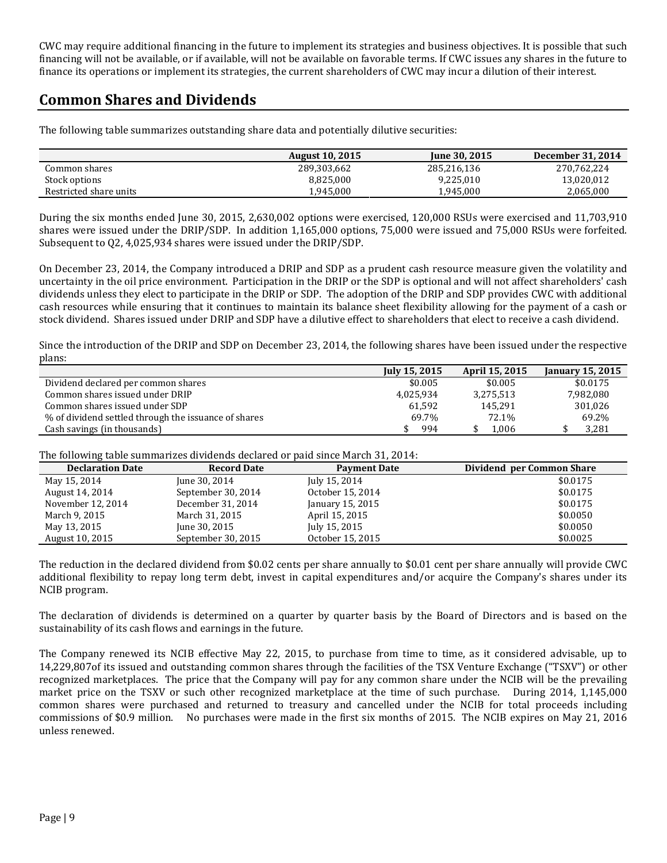CWC may require additional financing in the future to implement its strategies and business objectives. It is possible that such financing will not be available, or if available, will not be available on favorable terms. If CWC issues any shares in the future to finance its operations or implement its strategies, the current shareholders of CWC may incur a dilution of their interest.

### **Common Shares and Dividends**

The following table summarizes outstanding share data and potentially dilutive securities:

|                        | <b>August 10, 2015</b> | <b>Iune 30, 2015</b> | <b>December 31, 2014</b> |
|------------------------|------------------------|----------------------|--------------------------|
| Common shares          | 289,303,662            | 285.216.136          | 270.762.224              |
| Stock options          | 8,825,000              | 9.225.010            | 13.020.012               |
| Restricted share units | 1.945.000              | 1.945.000            | 2,065,000                |

During the six months ended June 30, 2015, 2,630,002 options were exercised, 120,000 RSUs were exercised and 11,703,910 shares were issued under the DRIP/SDP. In addition 1,165,000 options, 75,000 were issued and 75,000 RSUs were forfeited. Subsequent to Q2, 4,025,934 shares were issued under the DRIP/SDP.

On December 23, 2014, the Company introduced a DRIP and SDP as a prudent cash resource measure given the volatility and uncertainty in the oil price environment. Participation in the DRIP or the SDP is optional and will not affect shareholders' cash dividends unless they elect to participate in the DRIP or SDP. The adoption of the DRIP and SDP provides CWC with additional cash resources while ensuring that it continues to maintain its balance sheet flexibility allowing for the payment of a cash or stock dividend. Shares issued under DRIP and SDP have a dilutive effect to shareholders that elect to receive a cash dividend.

Since the introduction of the DRIP and SDP on December 23, 2014, the following shares have been issued under the respective plans:

|                                                      | <b>July 15, 2015</b> | <b>April 15, 2015</b> | <b>January 15, 2015</b> |
|------------------------------------------------------|----------------------|-----------------------|-------------------------|
| Dividend declared per common shares                  | \$0.005              | \$0.005               | \$0.0175                |
| Common shares issued under DRIP                      | 4.025.934            | 3,275,513             | 7,982,080               |
| Common shares issued under SDP                       | 61.592               | 145.291               | 301.026                 |
| % of dividend settled through the issuance of shares | 69.7%                | 72.1%                 | 69.2%                   |
| Cash savings (in thousands)                          | 994                  | 1.006                 | 3.281                   |

The following table summarizes dividends declared or paid since March 31, 2014:

| <b>Declaration Date</b> | <b>Record Date</b> | <b>Payment Date</b> | Dividend per Common Share |
|-------------------------|--------------------|---------------------|---------------------------|
| May 15, 2014            | June 30, 2014      | July 15, 2014       | \$0.0175                  |
| August 14, 2014         | September 30, 2014 | October 15, 2014    | \$0.0175                  |
| November 12, 2014       | December 31, 2014  | January 15, 2015    | \$0.0175                  |
| March 9, 2015           | March 31, 2015     | April 15, 2015      | \$0.0050                  |
| May 13, 2015            | June 30, 2015      | July 15, 2015       | \$0.0050                  |
| August 10, 2015         | September 30, 2015 | October 15, 2015    | \$0.0025                  |

The reduction in the declared dividend from \$0.02 cents per share annually to \$0.01 cent per share annually will provide CWC additional flexibility to repay long term debt, invest in capital expenditures and/or acquire the Company's shares under its NCIB program.

The declaration of dividends is determined on a quarter by quarter basis by the Board of Directors and is based on the sustainability of its cash flows and earnings in the future.

The Company renewed its NCIB effective May 22, 2015, to purchase from time to time, as it considered advisable, up to 14,229,807of its issued and outstanding common shares through the facilities of the TSX Venture Exchange ("TSXV") or other recognized marketplaces. The price that the Company will pay for any common share under the NCIB will be the prevailing market price on the TSXV or such other recognized marketplace at the time of such purchase. During 2014, 1,145,000 common shares were purchased and returned to treasury and cancelled under the NCIB for total proceeds including commissions of \$0.9 million. No purchases were made in the first six months of 2015. The NCIB expires on May 21, 2016 unless renewed.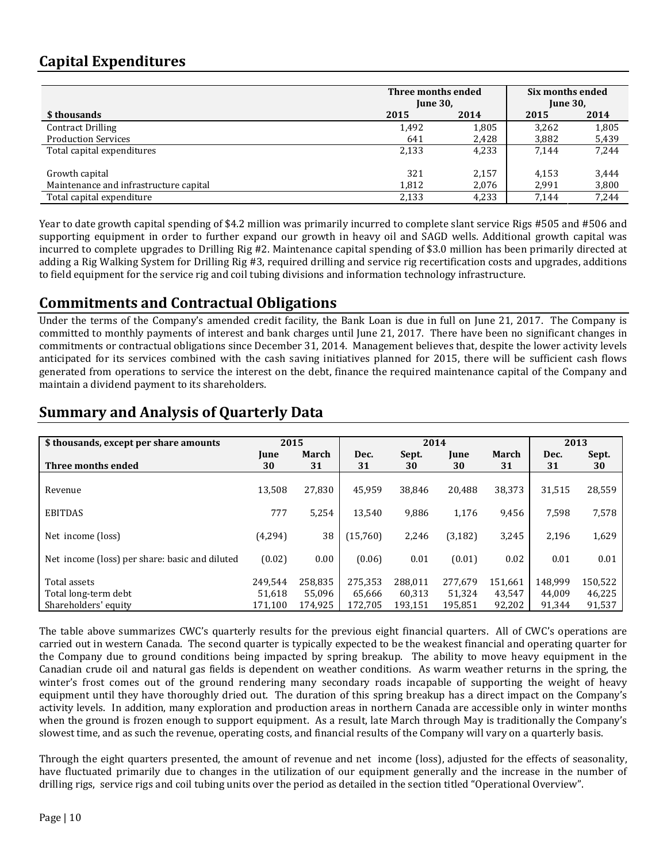# **Capital Expenditures**

|                                        | Three months ended<br><b>June 30,</b> |       | Six months ended<br><b>June 30,</b> |       |
|----------------------------------------|---------------------------------------|-------|-------------------------------------|-------|
| \$ thousands                           | 2015                                  | 2014  | 2015                                | 2014  |
| <b>Contract Drilling</b>               | 1,492                                 | 1,805 | 3.262                               | 1,805 |
| <b>Production Services</b>             | 641                                   | 2,428 | 3,882                               | 5,439 |
| Total capital expenditures             | 2,133                                 | 4,233 | 7.144                               | 7,244 |
|                                        |                                       |       |                                     |       |
| Growth capital                         | 321                                   | 2.157 | 4.153                               | 3,444 |
| Maintenance and infrastructure capital | 1.812                                 | 2.076 | 2.991                               | 3,800 |
| Total capital expenditure              | 2,133                                 | 4,233 | 7.144                               | 7,244 |

Year to date growth capital spending of \$4.2 million was primarily incurred to complete slant service Rigs #505 and #506 and supporting equipment in order to further expand our growth in heavy oil and SAGD wells. Additional growth capital was incurred to complete upgrades to Drilling Rig #2. Maintenance capital spending of \$3.0 million has been primarily directed at adding a Rig Walking System for Drilling Rig #3, required drilling and service rig recertification costs and upgrades, additions to field equipment for the service rig and coil tubing divisions and information technology infrastructure.

### **Commitments and Contractual Obligations**

Under the terms of the Company's amended credit facility, the Bank Loan is due in full on June 21, 2017. The Company is committed to monthly payments of interest and bank charges until June 21, 2017. There have been no significant changes in commitments or contractual obligations since December 31, 2014. Management believes that, despite the lower activity levels anticipated for its services combined with the cash saving initiatives planned for 2015, there will be sufficient cash flows generated from operations to service the interest on the debt, finance the required maintenance capital of the Company and maintain a dividend payment to its shareholders.

#### **\$ thousands, except per share amounts 2015 2014 2013 Three months ended June 30 March 31 Dec. 31 Sept. 30 June 30 March 31 Dec. 31 Sept. 30** Revenue 13,508 27,830 45,959 38,846 20,488 38,373 31,515 28,559 EBITDAS 777 5,254 13,540 9,886 1,176 9,456 7,598 7,578 Net income (loss) (4,294) 38 (15,760) 2,246 (3,182) 3,245 2,196 1,629 Net income (loss) per share: basic and diluted (0.02) 0.00 (0.06) 0.01 (0.01) 0.02 0.01 0.01 0.01 Total assets 249,544 258,835 275,353 288,011 277,679 151,661 148,999 150,522 Total long-term debt 51,618 55,096 65,666 60,313 51,324 43,547 44,009 46,225 Shareholders' equity 171,100 174,925 172,705 193,151 195,851 92,202 91,344 91,537

# **Summary and Analysis of Quarterly Data**

The table above summarizes CWC's quarterly results for the previous eight financial quarters. All of CWC's operations are carried out in western Canada. The second quarter is typically expected to be the weakest financial and operating quarter for the Company due to ground conditions being impacted by spring breakup. The ability to move heavy equipment in the Canadian crude oil and natural gas fields is dependent on weather conditions. As warm weather returns in the spring, the winter's frost comes out of the ground rendering many secondary roads incapable of supporting the weight of heavy equipment until they have thoroughly dried out. The duration of this spring breakup has a direct impact on the Company's activity levels. In addition, many exploration and production areas in northern Canada are accessible only in winter months when the ground is frozen enough to support equipment. As a result, late March through May is traditionally the Company's slowest time, and as such the revenue, operating costs, and financial results of the Company will vary on a quarterly basis.

Through the eight quarters presented, the amount of revenue and net income (loss), adjusted for the effects of seasonality, have fluctuated primarily due to changes in the utilization of our equipment generally and the increase in the number of drilling rigs, service rigs and coil tubing units over the period as detailed in the section titled "Operational Overview".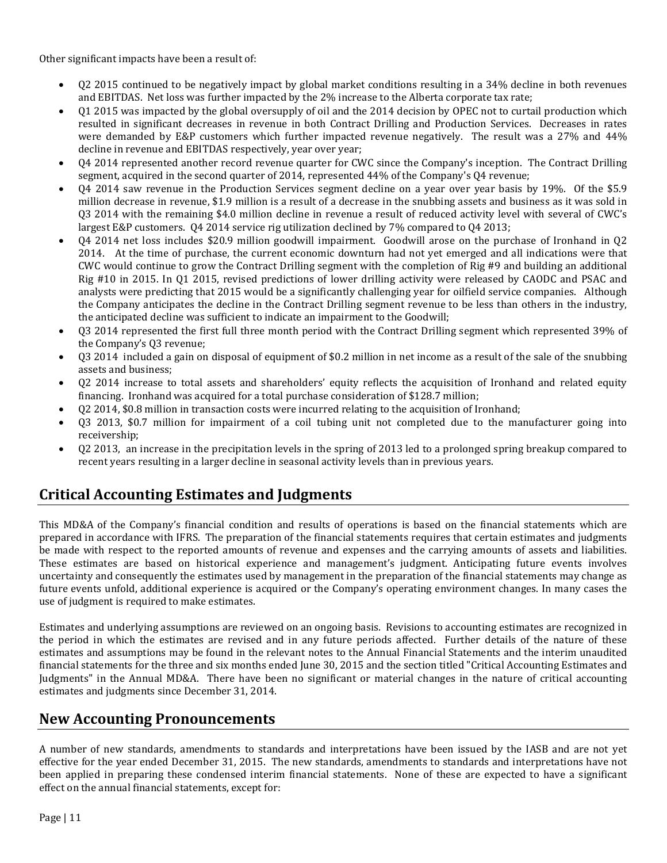Other significant impacts have been a result of:

- Q2 2015 continued to be negatively impact by global market conditions resulting in a 34% decline in both revenues and EBITDAS. Net loss was further impacted by the 2% increase to the Alberta corporate tax rate;
- Q1 2015 was impacted by the global oversupply of oil and the 2014 decision by OPEC not to curtail production which resulted in significant decreases in revenue in both Contract Drilling and Production Services. Decreases in rates were demanded by E&P customers which further impacted revenue negatively. The result was a 27% and 44% decline in revenue and EBITDAS respectively, year over year;
- Q4 2014 represented another record revenue quarter for CWC since the Company's inception. The Contract Drilling segment, acquired in the second quarter of 2014, represented 44% of the Company's Q4 revenue;
- Q4 2014 saw revenue in the Production Services segment decline on a year over year basis by 19%. Of the \$5.9 million decrease in revenue, \$1.9 million is a result of a decrease in the snubbing assets and business as it was sold in Q3 2014 with the remaining \$4.0 million decline in revenue a result of reduced activity level with several of CWC's largest E&P customers. Q4 2014 service rig utilization declined by 7% compared to Q4 2013;
- Q4 2014 net loss includes \$20.9 million goodwill impairment. Goodwill arose on the purchase of Ironhand in Q2 2014. At the time of purchase, the current economic downturn had not yet emerged and all indications were that CWC would continue to grow the Contract Drilling segment with the completion of Rig #9 and building an additional Rig #10 in 2015. In Q1 2015, revised predictions of lower drilling activity were released by CAODC and PSAC and analysts were predicting that 2015 would be a significantly challenging year for oilfield service companies. Although the Company anticipates the decline in the Contract Drilling segment revenue to be less than others in the industry, the anticipated decline was sufficient to indicate an impairment to the Goodwill;
- Q3 2014 represented the first full three month period with the Contract Drilling segment which represented 39% of the Company's Q3 revenue;
- Q3 2014 included a gain on disposal of equipment of \$0.2 million in net income as a result of the sale of the snubbing assets and business;
- Q2 2014 increase to total assets and shareholders' equity reflects the acquisition of Ironhand and related equity financing. Ironhand was acquired for a total purchase consideration of \$128.7 million;
- Q2 2014, \$0.8 million in transaction costs were incurred relating to the acquisition of Ironhand;
- Q3 2013, \$0.7 million for impairment of a coil tubing unit not completed due to the manufacturer going into receivership;
- Q2 2013, an increase in the precipitation levels in the spring of 2013 led to a prolonged spring breakup compared to recent years resulting in a larger decline in seasonal activity levels than in previous years.

# **Critical Accounting Estimates and Judgments**

This MD&A of the Company's financial condition and results of operations is based on the financial statements which are prepared in accordance with IFRS. The preparation of the financial statements requires that certain estimates and judgments be made with respect to the reported amounts of revenue and expenses and the carrying amounts of assets and liabilities. These estimates are based on historical experience and management's judgment. Anticipating future events involves uncertainty and consequently the estimates used by management in the preparation of the financial statements may change as future events unfold, additional experience is acquired or the Company's operating environment changes. In many cases the use of judgment is required to make estimates.

Estimates and underlying assumptions are reviewed on an ongoing basis. Revisions to accounting estimates are recognized in the period in which the estimates are revised and in any future periods affected. Further details of the nature of these estimates and assumptions may be found in the relevant notes to the Annual Financial Statements and the interim unaudited financial statements for the three and six months ended June 30, 2015 and the section titled "Critical Accounting Estimates and Judgments" in the Annual MD&A. There have been no significant or material changes in the nature of critical accounting estimates and judgments since December 31, 2014.

### **New Accounting Pronouncements**

A number of new standards, amendments to standards and interpretations have been issued by the IASB and are not yet effective for the year ended December 31, 2015. The new standards, amendments to standards and interpretations have not been applied in preparing these condensed interim financial statements. None of these are expected to have a significant effect on the annual financial statements, except for: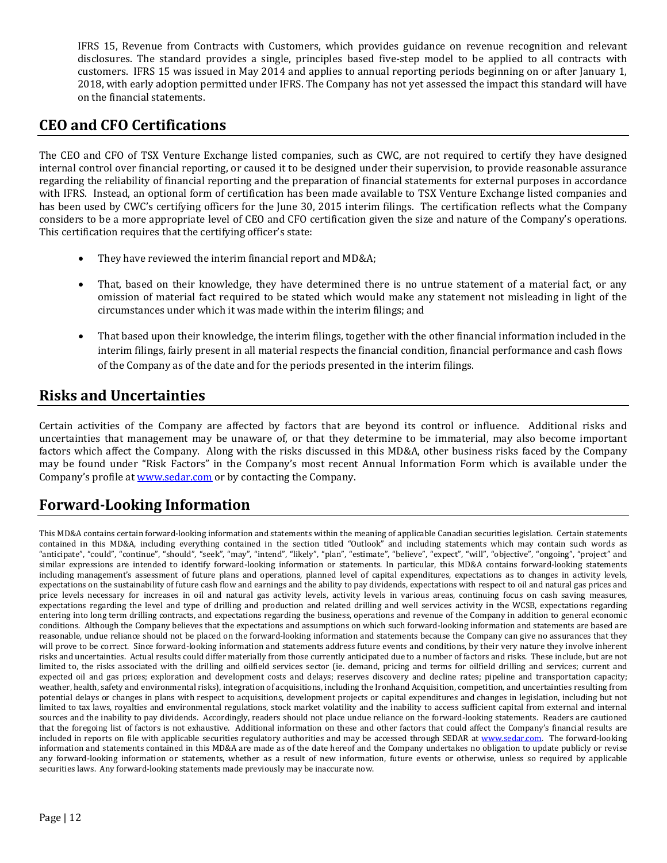IFRS 15, Revenue from Contracts with Customers, which provides guidance on revenue recognition and relevant disclosures. The standard provides a single, principles based five-step model to be applied to all contracts with customers. IFRS 15 was issued in May 2014 and applies to annual reporting periods beginning on or after January 1, 2018, with early adoption permitted under IFRS. The Company has not yet assessed the impact this standard will have on the financial statements.

### **CEO and CFO Certifications**

The CEO and CFO of TSX Venture Exchange listed companies, such as CWC, are not required to certify they have designed internal control over financial reporting, or caused it to be designed under their supervision, to provide reasonable assurance regarding the reliability of financial reporting and the preparation of financial statements for external purposes in accordance with IFRS. Instead, an optional form of certification has been made available to TSX Venture Exchange listed companies and has been used by CWC's certifying officers for the June 30, 2015 interim filings. The certification reflects what the Company considers to be a more appropriate level of CEO and CFO certification given the size and nature of the Company's operations. This certification requires that the certifying officer's state:

- They have reviewed the interim financial report and MD&A;
- That, based on their knowledge, they have determined there is no untrue statement of a material fact, or any omission of material fact required to be stated which would make any statement not misleading in light of the circumstances under which it was made within the interim filings; and
- That based upon their knowledge, the interim filings, together with the other financial information included in the interim filings, fairly present in all material respects the financial condition, financial performance and cash flows of the Company as of the date and for the periods presented in the interim filings.

### **Risks and Uncertainties**

Certain activities of the Company are affected by factors that are beyond its control or influence. Additional risks and uncertainties that management may be unaware of, or that they determine to be immaterial, may also become important factors which affect the Company. Along with the risks discussed in this MD&A, other business risks faced by the Company may be found under "Risk Factors" in the Company's most recent Annual Information Form which is available under the Company's profile at [www.sedar.com](http://www.sedar.com/) or by contacting the Company.

# **Forward-Looking Information**

This MD&A contains certain forward-looking information and statements within the meaning of applicable Canadian securities legislation. Certain statements contained in this MD&A, including everything contained in the section titled "Outlook" and including statements which may contain such words as "anticipate", "could", "continue", "should", "seek", "may", "intend", "likely", "plan", "estimate", "believe", "expect", "will", "objective", "ongoing", "project" and similar expressions are intended to identify forward-looking information or statements. In particular, this MD&A contains forward-looking statements including management's assessment of future plans and operations, planned level of capital expenditures, expectations as to changes in activity levels, expectations on the sustainability of future cash flow and earnings and the ability to pay dividends, expectations with respect to oil and natural gas prices and price levels necessary for increases in oil and natural gas activity levels, activity levels in various areas, continuing focus on cash saving measures, expectations regarding the level and type of drilling and production and related drilling and well services activity in the WCSB, expectations regarding entering into long term drilling contracts, and expectations regarding the business, operations and revenue of the Company in addition to general economic conditions. Although the Company believes that the expectations and assumptions on which such forward-looking information and statements are based are reasonable, undue reliance should not be placed on the forward-looking information and statements because the Company can give no assurances that they will prove to be correct. Since forward-looking information and statements address future events and conditions, by their very nature they involve inherent risks and uncertainties. Actual results could differ materially from those currently anticipated due to a number of factors and risks. These include, but are not limited to, the risks associated with the drilling and oilfield services sector (ie. demand, pricing and terms for oilfield drilling and services; current and expected oil and gas prices; exploration and development costs and delays; reserves discovery and decline rates; pipeline and transportation capacity; weather, health, safety and environmental risks), integration of acquisitions, including the Ironhand Acquisition, competition, and uncertainties resulting from potential delays or changes in plans with respect to acquisitions, development projects or capital expenditures and changes in legislation, including but not limited to tax laws, royalties and environmental regulations, stock market volatility and the inability to access sufficient capital from external and internal sources and the inability to pay dividends. Accordingly, readers should not place undue reliance on the forward-looking statements. Readers are cautioned that the foregoing list of factors is not exhaustive. Additional information on these and other factors that could affect the Company's financial results are included in reports on file with applicable securities regulatory authorities and may be accessed through SEDAR at [www.sedar.com.](http://www.sedar.com/) The forward-looking information and statements contained in this MD&A are made as of the date hereof and the Company undertakes no obligation to update publicly or revise any forward-looking information or statements, whether as a result of new information, future events or otherwise, unless so required by applicable securities laws. Any forward-looking statements made previously may be inaccurate now.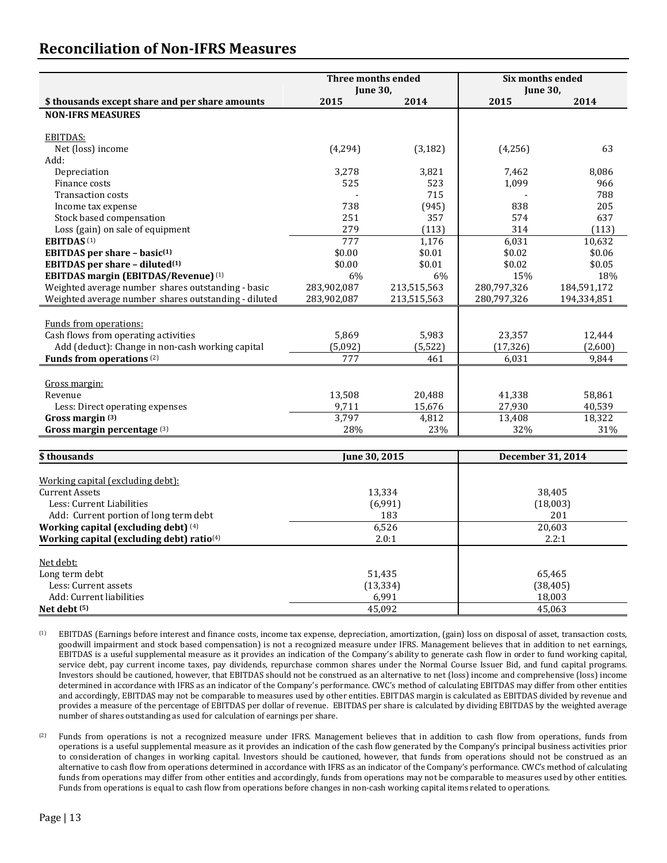### **Reconciliation of Non-IFRS Measures**

|                                                      | Three months ended<br><b>June 30,</b> |             | Six months ended<br><b>June 30,</b> |             |  |
|------------------------------------------------------|---------------------------------------|-------------|-------------------------------------|-------------|--|
| \$ thousands except share and per share amounts      | 2015                                  | 2014        | 2015                                | 2014        |  |
| <b>NON-IFRS MEASURES</b>                             |                                       |             |                                     |             |  |
|                                                      |                                       |             |                                     |             |  |
| <b>EBITDAS:</b>                                      |                                       |             |                                     |             |  |
| Net (loss) income                                    | (4,294)                               | (3, 182)    | (4,256)                             | 63          |  |
| Add:                                                 |                                       |             |                                     |             |  |
| Depreciation                                         | 3,278                                 | 3,821       | 7,462                               | 8,086       |  |
| Finance costs                                        | 525                                   | 523         | 1,099                               | 966         |  |
| <b>Transaction costs</b>                             |                                       | 715         |                                     | 788         |  |
| Income tax expense                                   | 738                                   | (945)       | 838                                 | 205         |  |
| Stock based compensation                             | 251                                   | 357         | 574                                 | 637         |  |
| Loss (gain) on sale of equipment                     | 279                                   | (113)       | 314                                 | (113)       |  |
| <b>EBITDAS</b> <sup>(1)</sup>                        | 777                                   | 1,176       | 6,031                               | 10,632      |  |
| EBITDAS per share - basic $(1)$                      | \$0.00                                | \$0.01      | \$0.02                              | \$0.06      |  |
| EBITDAS per share - diluted $(1)$                    | \$0.00                                | \$0.01      | \$0.02                              | \$0.05      |  |
| EBITDAS margin (EBITDAS/Revenue) <sup>(1)</sup>      | 6%                                    | 6%          | 15%                                 | 18%         |  |
| Weighted average number shares outstanding - basic   | 283,902,087                           | 213,515,563 | 280,797,326                         | 184,591,172 |  |
| Weighted average number shares outstanding - diluted | 283,902,087                           | 213,515,563 | 280,797,326                         | 194,334,851 |  |
|                                                      |                                       |             |                                     |             |  |
| Funds from operations:                               |                                       |             |                                     |             |  |
| Cash flows from operating activities                 | 5,869                                 | 5,983       | 23,357                              | 12,444      |  |
| Add (deduct): Change in non-cash working capital     | (5,092)                               | (5, 522)    | (17, 326)                           | (2,600)     |  |
| Funds from operations <sup>(2)</sup>                 | 777                                   | 461         | 6,031                               | 9,844       |  |
|                                                      |                                       |             |                                     |             |  |
| Gross margin:                                        |                                       |             |                                     |             |  |
| Revenue                                              | 13,508                                | 20,488      | 41,338                              | 58,861      |  |
| Less: Direct operating expenses                      | 9.711                                 | 15,676      | 27.930                              | 40.539      |  |
| Gross margin (3)                                     | 3.797                                 | 4.812       | 13,408                              | 18,322      |  |
| Gross margin percentage (3)                          | 28%                                   | 23%         | 32%                                 | 31%         |  |

| \$ thousands                                          | <b>June 30, 2015</b> | December 31, 2014 |  |  |
|-------------------------------------------------------|----------------------|-------------------|--|--|
|                                                       |                      |                   |  |  |
| Working capital (excluding debt):                     |                      |                   |  |  |
| <b>Current Assets</b>                                 | 13,334               | 38,405            |  |  |
| Less: Current Liabilities                             | (6,991)              | (18,003)          |  |  |
| Add: Current portion of long term debt                | 183                  | 201               |  |  |
| Working capital (excluding debt) (4)                  | 6,526                | 20,603            |  |  |
| Working capital (excluding debt) ratio <sup>(4)</sup> | 2.0:1                | 2.2:1             |  |  |
| Net debt:                                             |                      |                   |  |  |
| Long term debt                                        | 51,435               | 65.465            |  |  |
| Less: Current assets                                  | (13, 334)            | (38, 405)         |  |  |
| Add: Current liabilities                              | 6,991                | 18,003            |  |  |
| Net debt $(5)$                                        | 45,092               | 45,063            |  |  |

(1) EBITDAS (Earnings before interest and finance costs, income tax expense, depreciation, amortization, (gain) loss on disposal of asset, transaction costs, goodwill impairment and stock based compensation) is not a recognized measure under IFRS. Management believes that in addition to net earnings, EBITDAS is a useful supplemental measure as it provides an indication of the Company's ability to generate cash flow in order to fund working capital, service debt, pay current income taxes, pay dividends, repurchase common shares under the Normal Course Issuer Bid, and fund capital programs. Investors should be cautioned, however, that EBITDAS should not be construed as an alternative to net (loss) income and comprehensive (loss) income determined in accordance with IFRS as an indicator of the Company's performance. CWC's method of calculating EBITDAS may differ from other entities and accordingly, EBITDAS may not be comparable to measures used by other entities. EBITDAS margin is calculated as EBITDAS divided by revenue and provides a measure of the percentage of EBITDAS per dollar of revenue. EBITDAS per share is calculated by dividing EBITDAS by the weighted average number of shares outstanding as used for calculation of earnings per share.

<sup>(2)</sup> Funds from operations is not a recognized measure under IFRS. Management believes that in addition to cash flow from operations, funds from operations is a useful supplemental measure as it provides an indication of the cash flow generated by the Company's principal business activities prior to consideration of changes in working capital. Investors should be cautioned, however, that funds from operations should not be construed as an alternative to cash flow from operations determined in accordance with IFRS as an indicator of the Company's performance. CWC's method of calculating funds from operations may differ from other entities and accordingly, funds from operations may not be comparable to measures used by other entities. Funds from operations is equal to cash flow from operations before changes in non-cash working capital items related to operations.